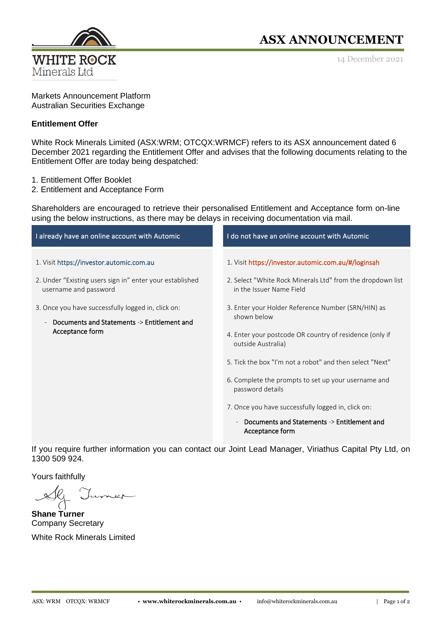

## **ASX ANNOUNCEMENT**

14 December 2021

Markets Announcement Platform Australian Securities Exchange

## **Entitlement Offer**

White Rock Minerals Limited (ASX:WRM; OTCQX:WRMCF) refers to its ASX announcement dated 6 December 2021 regarding the Entitlement Offer and advises that the following documents relating to the Entitlement Offer are today being despatched:

- 1. Entitlement Offer Booklet
- 2. Entitlement and Acceptance Form

Shareholders are encouraged to retrieve their personalised Entitlement and Acceptance form on-line using the below instructions, as there may be delays in receiving documentation via mail.

| I already have an online account with Automic                                                                                                                                                                                                         | I do not have an online account with Automic                                                                                                                                                                                                                                                                                                                                                                                                                                                                                                                                |
|-------------------------------------------------------------------------------------------------------------------------------------------------------------------------------------------------------------------------------------------------------|-----------------------------------------------------------------------------------------------------------------------------------------------------------------------------------------------------------------------------------------------------------------------------------------------------------------------------------------------------------------------------------------------------------------------------------------------------------------------------------------------------------------------------------------------------------------------------|
| 1. Visit https://investor.automic.com.au<br>2. Under "Existing users sign in" enter your established<br>username and password<br>3. Once you have successfully logged in, click on:<br>Documents and Statements -> Entitlement and<br>Acceptance form | 1. Visit https://investor.automic.com.au/#/loginsah<br>2. Select "White Rock Minerals Ltd" from the dropdown list<br>in the Issuer Name Field<br>3. Enter your Holder Reference Number (SRN/HIN) as<br>shown below<br>4. Enter your postcode OR country of residence (only if<br>outside Australia)<br>5. Tick the box "I'm not a robot" and then select "Next"<br>6. Complete the prompts to set up your username and<br>password details<br>7. Once you have successfully logged in, click on:<br>Documents and Statements -> Entitlement and<br>$\overline{\phantom{a}}$ |
|                                                                                                                                                                                                                                                       | Acceptance form                                                                                                                                                                                                                                                                                                                                                                                                                                                                                                                                                             |

If you require further information you can contact our Joint Lead Manager, Viriathus Capital Pty Ltd, on 1300 509 924.

Yours faithfully

**Shane Turner** Company Secretary White Rock Minerals Limited